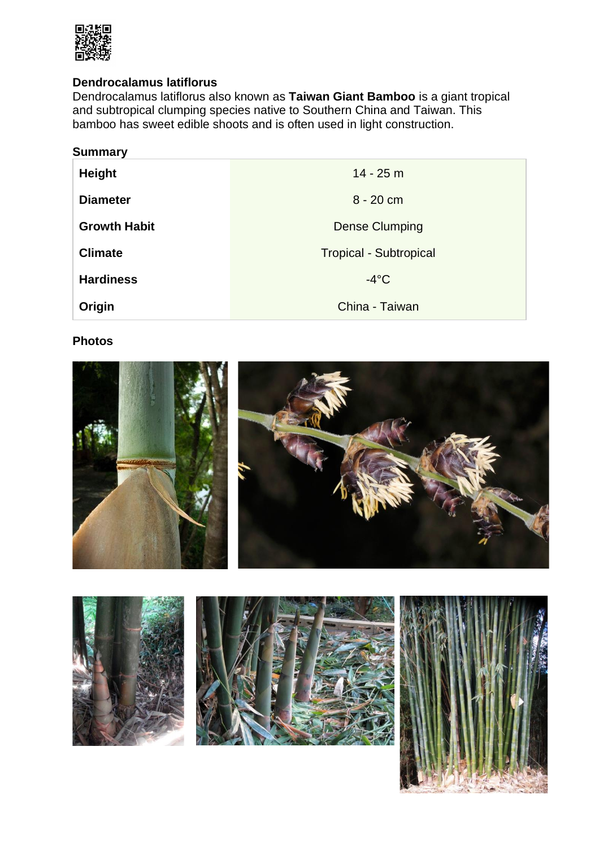

# **Dendrocalamus latiflorus**

Dendrocalamus latiflorus also known as **Taiwan Giant Bamboo** is a giant tropical and subtropical clumping species native to Southern China and Taiwan. This bamboo has sweet edible shoots and is often used in light construction.

| <b>Summary</b>      |                               |
|---------------------|-------------------------------|
| <b>Height</b>       | $14 - 25$ m                   |
| <b>Diameter</b>     | $8 - 20$ cm                   |
| <b>Growth Habit</b> | <b>Dense Clumping</b>         |
| <b>Climate</b>      | <b>Tropical - Subtropical</b> |
| <b>Hardiness</b>    | $-4$ °C                       |
| Origin              | China - Taiwan                |

# **Photos**



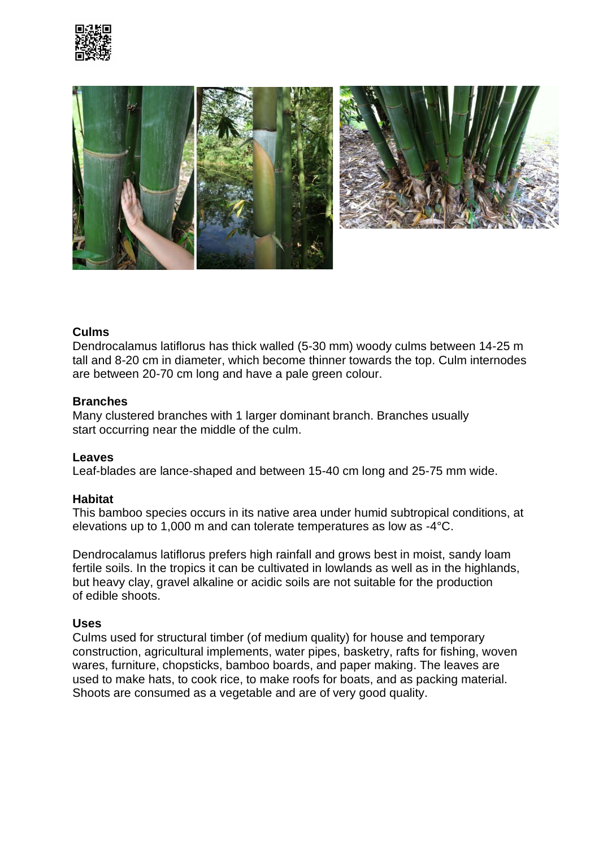



# **Culms**

Dendrocalamus latiflorus has thick walled (5-30 mm) woody culms between 14-25 m tall and 8-20 cm in diameter, which become thinner towards the top. Culm internodes are between 20-70 cm long and have a pale green colour.

# **Branches**

Many clustered branches with 1 larger dominant branch. Branches usually start occurring near the middle of the culm.

### **Leaves**

Leaf-blades are lance-shaped and between 15-40 cm long and 25-75 mm wide.

### **Habitat**

This bamboo species occurs in its native area under humid subtropical conditions, at elevations up to 1,000 m and can tolerate temperatures as low as -4°C.

Dendrocalamus latiflorus prefers high rainfall and grows best in moist, sandy loam fertile soils. In the tropics it can be cultivated in lowlands as well as in the highlands, but heavy clay, gravel alkaline or acidic soils are not suitable for the production of edible shoots.

### **Uses**

Culms used for structural timber (of medium quality) for house and temporary construction, agricultural implements, water pipes, basketry, rafts for fishing, woven wares, furniture, chopsticks, bamboo boards, and paper making. The leaves are used to make hats, to cook rice, to make roofs for boats, and as packing material. Shoots are consumed as a vegetable and are of very good quality.